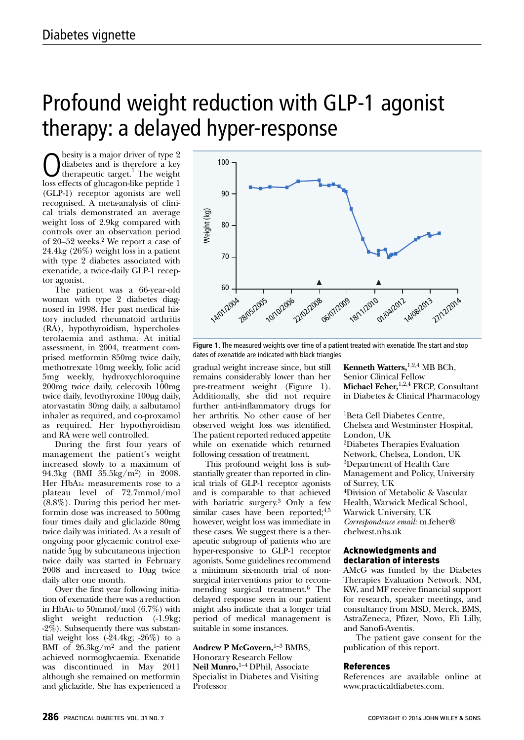## Profound weight reduction with GLP-1 agonist therapy: a delayed hyper-response

 $\bigodot$  diabetes and is therefore a key<br>therapeutic target.<sup>1</sup> The weight<br>less of soluces on like poptide 1 besity is a major driver of type 2<br>diabetes and is therefore a key therapeutic target.<sup>1</sup> The weight loss effects of glucagon-like peptide 1 (GLP-1) receptor agonists are well recognised. A meta-analysis of clinical trials demonstrated an average weight loss of 2.9kg compared with controls over an observation period of 20–52 weeks. <sup>2</sup> We report a case of 24.4kg (26%) weight loss in a patient with type 2 diabetes associated with exenatide, a twice-daily GLP-1 receptor agonist.

The patient was a 66-year-old woman with type 2 diabetes diagnosed in 1998. Her past medical history included rheumatoid arthritis (RA), hypothyroidism, hypercholesterolaemia and asthma. At initial assessment, in 2004, treatment comprised metformin 850mg twice daily, methotrexate 10mg weekly, folic acid 5mg weekly, hydroxychloroquine 200mg twice daily, celecoxib 100mg twice daily, levothyroxine 100µg daily, atorvastatin 30mg daily, a salbutamol inhaler as required, and co-proxamol as required. Her hypothyroidism and RA were well controlled.

During the first four years of management the patient's weight increased slowly to a maximum of 94.3kg (BMI 35.5kg/m2) in 2008. Her HbA1c measurements rose to a plateau level of 72.7mmol/mol (8.8%). During this period her metformin dose was increased to 500mg four times daily and gliclazide 80mg twice daily was initiated. As a result of ongoing poor glycaemic control exenatide 5µg by subcutaneous injection twice daily was started in February 2008 and increased to 10µg twice daily after one month.

Over the first year following initiation of exenatide there was a reduction in HbA1c to 50mmol/mol (6.7%) with slight weight reduction (-1.9kg; -2%). Subsequently there was substantial weight loss  $(-24.4\text{kg}; -26\%)$  to a BMI of  $26.3\text{kg/m}^2$  and the patient achieved normoglycaemia. Exenatide was discontinued in May 2011 although she remained on metformin and gliclazide. She has experienced a



**Figure 1.** The measured weights over time of a patient treated with exenatide. The start and stop dates of exenatide are indicated with black triangles

gradual weight increase since, but still remains considerably lower than her pre-treatment weight (Figure 1). Additionally, she did not require further anti-inflammatory drugs for her arthritis. No other cause of her observed weight loss was identified. The patient reported reduced appetite while on exenatide which returned following cessation of treatment.

This profound weight loss is substantially greater than reported in clinical trials of GLP-1 receptor agonists and is comparable to that achieved with bariatric surgery.<sup>3</sup> Only a few similar cases have been reported;<sup>4,5</sup> however, weight loss was immediate in these cases. We suggest there is a therapeutic subgroup of patients who are hyper-responsive to GLP-1 receptor agonists. Some guidelines recommend a minimum six-month trial of nonsurgical interventions prior to recommending surgical treatment. <sup>6</sup> The delayed response seen in our patient might also indicate that a longer trial period of medical management is suitable in some instances.

**Andrew P McGovern,** 1–3 BMBS, Honorary Research Fellow **Neil Munro,** 1–4 DPhil, Associate Specialist in Diabetes and Visiting Professor

**Kenneth Watters,** 1,2,4 MB BCh, Senior Clinical Fellow **Michael Feher,** 1,2,4 FRCP, Consultant in Diabetes & Clinical Pharmacology

1Beta Cell Diabetes Centre, Chelsea and Westminster Hospital, London, UK 2Diabetes Therapies Evaluation Network, Chelsea, London, UK 3Department of Health Care Management and Policy, University of Surrey, UK 4Division of Metabolic & Vascular Health, Warwick Medical School, Warwick University, UK *Correspondence email:* m.feher@ chelwest.nhs.uk

## Acknowledgments and declaration of interests

AMcG was funded by the Diabetes Therapies Evaluation Network. NM, KW, and MF receive financial support for research, speaker meetings, and consultancy from MSD, Merck, BMS, AstraZeneca, Pfizer, Novo, Eli Lilly, and Sanofi-Aventis.

The patient gave consent for the publication of this report.

## References

References are available online at www.practicaldiabetes.com.